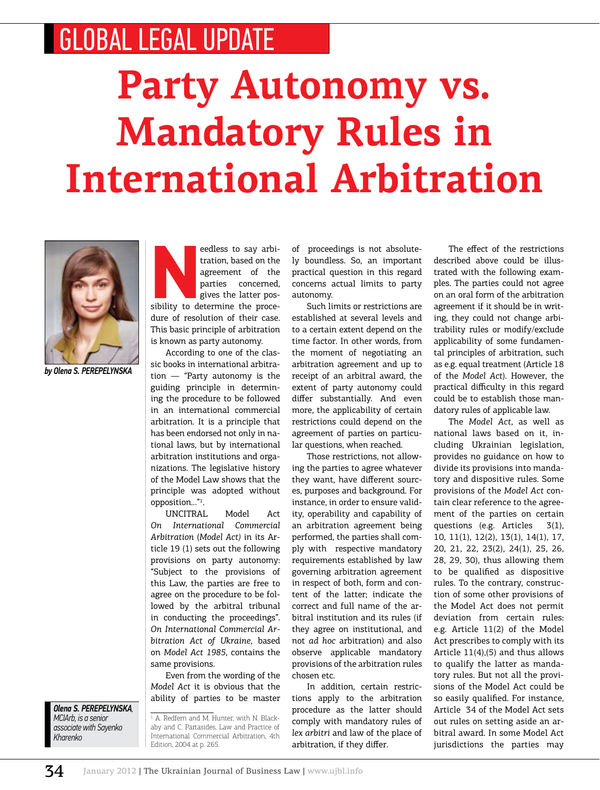## GLOBAL LEGAL UPDATE

## **Party Autonomy vs. Mandatory Rules in International Arbitration**



*by Olena S. Perepelynska*

edless to say arbitration, based on the agreement of the parties concerned, gives the latter possibility to determine the procetration, based on the agreement of the parties concerned, gives the latter posdure of resolution of their case. This basic principle of arbitration is known as party autonomy.

According to one of the classic books in international arbitration — "Party autonomy is the guiding principle in determining the procedure to be followed in an international commercial arbitration. It is a principle that has been endorsed not only in national laws, but by international arbitration institutions and organizations. The legislative history of the Model Law shows that the principle was adopted without opposition…"1 .

UNCITRAL Model Act *On International Commercial Arbitration* (*Model Act)* in its Article 19 (1) sets out the following provisions on party autonomy: "Subject to the provisions of this Law, the parties are free to agree on the procedure to be followed by the arbitral tribunal in conducting the proceedings". *On International Commercial Arbitration Act of Ukraine*, based on *Model Act 1985*, contains the same provisions.

Even from the wording of the *Model Act* it is obvious that the ability of parties to be master

*Olena S. Perepelynska, MCIArb, is a senior associate with Sayenko Kharenko* 

1 A. Redfern and M. Hunter, with N. Blackaby and C. Partasides, Law and Practice of International Commercial Arbitration, 4th Edition, 2004 at p. 265.

of proceedings is not absolutely boundless. So, an important practical question in this regard concerns actual limits to party autonomy.

Such limits or restrictions are established at several levels and to a certain extent depend on the time factor. In other words, from the moment of negotiating an arbitration agreement and up to receipt of an arbitral award, the extent of party autonomy could differ substantially. And even more, the applicability of certain restrictions could depend on the agreement of parties on particular questions, when reached.

Those restrictions, not allowing the parties to agree whatever they want, have different sources, purposes and background. For instance, in order to ensure validity, operability and capability of an arbitration agreement being performed, the parties shall comply with respective mandatory requirements established by law governing arbitration agreement in respect of both, form and content of the latter; indicate the correct and full name of the arbitral institution and its rules (if they agree on institutional, and not *ad hoc* arbitration) and also observe applicable mandatory provisions of the arbitration rules chosen etc.

In addition, certain restrictions apply to the arbitration procedure as the latter should comply with mandatory rules of *lex arbitri* and law of the place of arbitration, if they differ.

The effect of the restrictions described above could be illustrated with the following examples. The parties could not agree on an oral form of the arbitration agreement if it should be in writing, they could not change arbitrability rules or modify/exclude applicability of some fundamental principles of arbitration, such as e.g. equal treatment (Article 18 of the *Model Act*). However, the practical difficulty in this regard could be to establish those mandatory rules of applicable law.

The *Model Act*, as well as national laws based on it, including Ukrainian legislation, provides no guidance on how to divide its provisions into mandatory and dispositive rules. Some provisions of the *Model Act* contain clear reference to the agreement of the parties on certain questions (e.g. Articles 3(1), 10, 11(1), 12(2), 13(1), 14(1), 17, 20, 21, 22, 23(2), 24(1), 25, 26, 28, 29, 30), thus allowing them to be qualified as dispositive rules. To the contrary, construction of some other provisions of the Model Act does not permit deviation from certain rules: e.g. Article 11(2) of the Model Act prescribes to comply with its Article 11(4),(5) and thus allows to qualify the latter as mandatory rules. But not all the provisions of the Model Act could be so easily qualified. For instance, Article 34 of the Model Act sets out rules on setting aside an arbitral award. In some Model Act jurisdictions the parties may